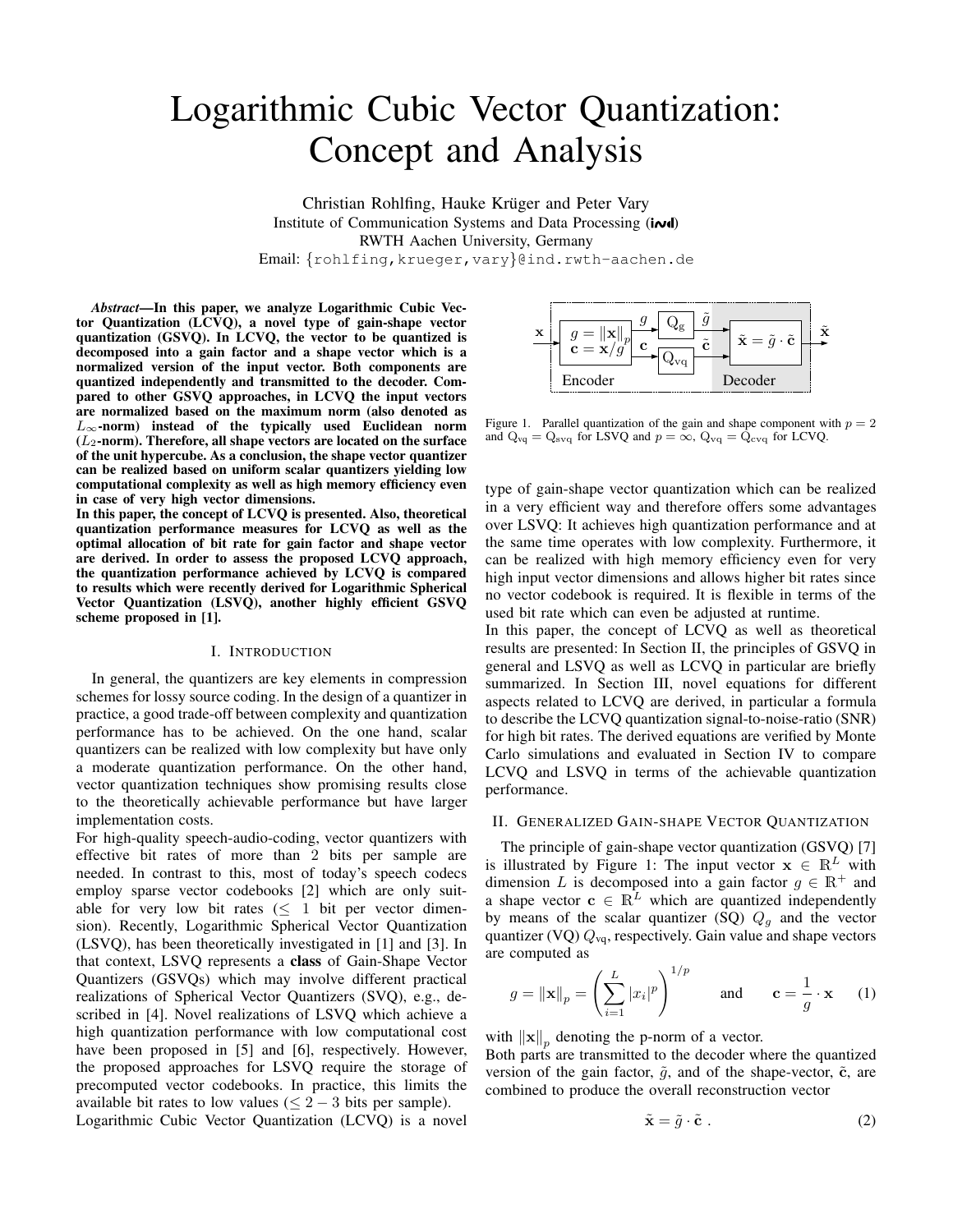# Logarithmic Cubic Vector Quantization: Concept and Analysis

Christian Rohlfing, Hauke Krüger and Peter Vary Institute of Communication Systems and Data Processing (in d) RWTH Aachen University, Germany Email: {rohlfing,krueger,vary}@ind.rwth-aachen.de

*Abstract***—In this paper, we analyze Logarithmic Cubic Vector Quantization (LCVQ), a novel type of gain-shape vector quantization (GSVQ). In LCVQ, the vector to be quantized is decomposed into a gain factor and a shape vector which is a normalized version of the input vector. Both components are quantized independently and transmitted to the decoder. Compared to other GSVQ approaches, in LCVQ the input vectors are normalized based on the maximum norm (also denoted as** L∞**-norm) instead of the typically used Euclidean norm (**L2**-norm). Therefore, all shape vectors are located on the surface of the unit hypercube. As a conclusion, the shape vector quantizer can be realized based on uniform scalar quantizers yielding low computational complexity as well as high memory efficiency even in case of very high vector dimensions.**

**In this paper, the concept of LCVQ is presented. Also, theoretical quantization performance measures for LCVQ as well as the optimal allocation of bit rate for gain factor and shape vector are derived. In order to assess the proposed LCVQ approach, the quantization performance achieved by LCVQ is compared to results which were recently derived for Logarithmic Spherical Vector Quantization (LSVQ), another highly efficient GSVQ scheme proposed in [1].**

#### I. INTRODUCTION

In general, the quantizers are key elements in compression schemes for lossy source coding. In the design of a quantizer in practice, a good trade-off between complexity and quantization performance has to be achieved. On the one hand, scalar quantizers can be realized with low complexity but have only a moderate quantization performance. On the other hand, vector quantization techniques show promising results close to the theoretically achievable performance but have larger implementation costs.

For high-quality speech-audio-coding, vector quantizers with effective bit rates of more than 2 bits per sample are needed. In contrast to this, most of today's speech codecs employ sparse vector codebooks [2] which are only suitable for very low bit rates ( $\leq 1$  bit per vector dimension). Recently, Logarithmic Spherical Vector Quantization (LSVQ), has been theoretically investigated in [1] and [3]. In that context, LSVQ represents a **class** of Gain-Shape Vector Quantizers (GSVQs) which may involve different practical realizations of Spherical Vector Quantizers (SVQ), e.g., described in [4]. Novel realizations of LSVQ which achieve a high quantization performance with low computational cost have been proposed in [5] and [6], respectively. However, the proposed approaches for LSVQ require the storage of precomputed vector codebooks. In practice, this limits the available bit rates to low values ( $\leq 2 - 3$  bits per sample). Logarithmic Cubic Vector Quantization (LCVQ) is a novel



Figure 1. Parallel quantization of the gain and shape component with  $p = 2$ and  $Q_{\text{vq}} = Q_{\text{svq}}$  for LSVQ and  $p = \infty$ ,  $Q_{\text{vq}} = Q_{\text{cvq}}$  for LCVQ.

type of gain-shape vector quantization which can be realized in a very efficient way and therefore offers some advantages over LSVQ: It achieves high quantization performance and at the same time operates with low complexity. Furthermore, it can be realized with high memory efficiency even for very high input vector dimensions and allows higher bit rates since no vector codebook is required. It is flexible in terms of the used bit rate which can even be adjusted at runtime.

In this paper, the concept of LCVQ as well as theoretical results are presented: In Section II, the principles of GSVQ in general and LSVQ as well as LCVQ in particular are briefly summarized. In Section III, novel equations for different aspects related to LCVQ are derived, in particular a formula to describe the LCVQ quantization signal-to-noise-ratio (SNR) for high bit rates. The derived equations are verified by Monte Carlo simulations and evaluated in Section IV to compare LCVQ and LSVQ in terms of the achievable quantization performance.

## II. GENERALIZED GAIN-SHAPE VECTOR QUANTIZATION

The principle of gain-shape vector quantization (GSVQ) [7] is illustrated by Figure 1: The input vector  $x \in \mathbb{R}^L$  with dimension L is decomposed into a gain factor  $q \in \mathbb{R}^+$  and a shape vector  $c \in \mathbb{R}^L$  which are quantized independently by means of the scalar quantizer (SQ)  $Q<sub>q</sub>$  and the vector quantizer (VQ)  $Q_{\text{vq}}$ , respectively. Gain value and shape vectors are computed as

$$
g = \|\mathbf{x}\|_p = \left(\sum_{i=1}^L |x_i|^p\right)^{1/p} \quad \text{and} \quad \mathbf{c} = \frac{1}{g} \cdot \mathbf{x} \quad (1)
$$

with  $\|\mathbf{x}\|_p$  denoting the p-norm of a vector.

Both parts are transmitted to the decoder where the quantized version of the gain factor,  $\tilde{g}$ , and of the shape-vector,  $\tilde{c}$ , are combined to produce the overall reconstruction vector

$$
\tilde{\mathbf{x}} = \tilde{g} \cdot \tilde{\mathbf{c}} \tag{2}
$$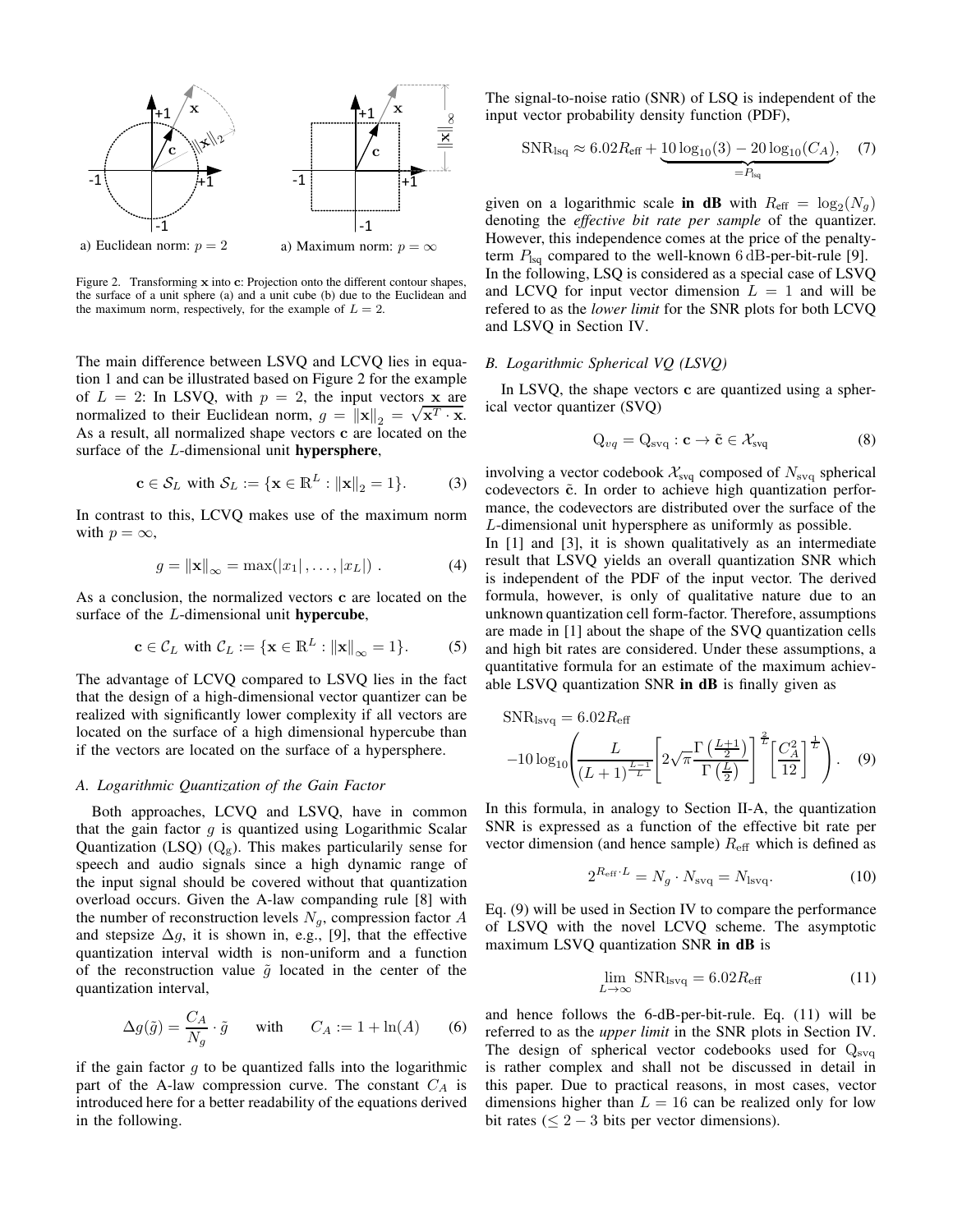

Figure 2. Transforming x into c: Projection onto the different contour shapes, the surface of a unit sphere (a) and a unit cube (b) due to the Euclidean and the maximum norm, respectively, for the example of  $L = 2$ .

The main difference between LSVQ and LCVQ lies in equation 1 and can be illustrated based on Figure 2 for the example of  $L = 2$ : In LSVQ, with  $p = 2$ , the input vectors x are normalized to their Euclidean norm,  $g = ||\mathbf{x}||_2 = \sqrt{\mathbf{x}^T \cdot \mathbf{x}}$ . As a result, all normalized shape vectors c are located on the surface of the L-dimensional unit **hypersphere**,

$$
\mathbf{c} \in \mathcal{S}_L \text{ with } \mathcal{S}_L := \{ \mathbf{x} \in \mathbb{R}^L : ||\mathbf{x}||_2 = 1 \}. \tag{3}
$$

In contrast to this, LCVQ makes use of the maximum norm with  $p = \infty$ ,

$$
g = ||\mathbf{x}||_{\infty} = \max(|x_1|, \dots, |x_L|) . \tag{4}
$$

As a conclusion, the normalized vectors c are located on the surface of the L-dimensional unit **hypercube**,

$$
\mathbf{c} \in \mathcal{C}_L \text{ with } \mathcal{C}_L := \{ \mathbf{x} \in \mathbb{R}^L : ||\mathbf{x}||_{\infty} = 1 \}. \tag{5}
$$

The advantage of LCVQ compared to LSVQ lies in the fact that the design of a high-dimensional vector quantizer can be realized with significantly lower complexity if all vectors are located on the surface of a high dimensional hypercube than if the vectors are located on the surface of a hypersphere.

#### *A. Logarithmic Quantization of the Gain Factor*

Both approaches, LCVQ and LSVQ, have in common that the gain factor  $g$  is quantized using Logarithmic Scalar Quantization (LSQ)  $(Q_g)$ . This makes particularily sense for speech and audio signals since a high dynamic range of the input signal should be covered without that quantization overload occurs. Given the A-law companding rule [8] with the number of reconstruction levels  $N<sub>g</sub>$ , compression factor A and stepsize  $\Delta g$ , it is shown in, e.g., [9], that the effective quantization interval width is non-uniform and a function of the reconstruction value  $\tilde{g}$  located in the center of the quantization interval,

$$
\Delta g(\tilde{g}) = \frac{C_A}{N_g} \cdot \tilde{g} \quad \text{with} \quad C_A := 1 + \ln(A) \quad (6)
$$

if the gain factor  $g$  to be quantized falls into the logarithmic part of the A-law compression curve. The constant  $C_A$  is introduced here for a better readability of the equations derived in the following.

The signal-to-noise ratio (SNR) of LSQ is independent of the input vector probability density function (PDF),

$$
SNR_{\text{lsq}} \approx 6.02 R_{\text{eff}} + \underbrace{10 \log_{10}(3) - 20 \log_{10}(C_A)}_{=P_{\text{lsq}}}, \quad (7)
$$

given on a logarithmic scale **in dB** with  $R_{\text{eff}} = \log_2(N_g)$ denoting the *effective bit rate per sample* of the quantizer. However, this independence comes at the price of the penaltyterm  $P_{\text{lsq}}$  compared to the well-known 6 dB-per-bit-rule [9]. In the following, LSQ is considered as a special case of LSVQ and LCVQ for input vector dimension  $L = 1$  and will be refered to as the *lower limit* for the SNR plots for both LCVQ and LSVQ in Section IV.

### *B. Logarithmic Spherical VQ (LSVQ)*

In LSVQ, the shape vectors c are quantized using a spherical vector quantizer (SVQ)

$$
Q_{vq} = Q_{svq} : \mathbf{c} \to \tilde{\mathbf{c}} \in \mathcal{X}_{svq}
$$
 (8)

involving a vector codebook  $\mathcal{X}_{\text{svq}}$  composed of  $N_{\text{svq}}$  spherical codevectors  $\tilde{c}$ . In order to achieve high quantization performance, the codevectors are distributed over the surface of the L-dimensional unit hypersphere as uniformly as possible.

In [1] and [3], it is shown qualitatively as an intermediate result that LSVQ yields an overall quantization SNR which is independent of the PDF of the input vector. The derived formula, however, is only of qualitative nature due to an unknown quantization cell form-factor. Therefore, assumptions are made in [1] about the shape of the SVQ quantization cells and high bit rates are considered. Under these assumptions, a quantitative formula for an estimate of the maximum achievable LSVQ quantization SNR **in dB** is finally given as

$$
\text{SNR}_{\text{isvq}} = 6.02 R_{\text{eff}}
$$

$$
-10 \log_{10} \left( \frac{L}{(L+1)^{\frac{L-1}{L}}} \left[ 2\sqrt{\pi} \frac{\Gamma\left(\frac{L+1}{2}\right)}{\Gamma\left(\frac{L}{2}\right)} \right]^{\frac{2}{L}} \left[ \frac{C_A^2}{12} \right]^{\frac{1}{L}} \right). \quad (9)
$$

In this formula, in analogy to Section II-A, the quantization SNR is expressed as a function of the effective bit rate per vector dimension (and hence sample)  $R_{\text{eff}}$  which is defined as

$$
2^{R_{\rm eff} \cdot L} = N_g \cdot N_{\rm svq} = N_{\rm lsvq}.\tag{10}
$$

Eq. (9) will be used in Section IV to compare the performance of LSVQ with the novel LCVQ scheme. The asymptotic maximum LSVQ quantization SNR **in dB** is

$$
\lim_{L \to \infty} \text{SNR}_{\text{lsvq}} = 6.02 R_{\text{eff}} \tag{11}
$$

and hence follows the 6-dB-per-bit-rule. Eq. (11) will be referred to as the *upper limit* in the SNR plots in Section IV. The design of spherical vector codebooks used for  $Q_{\text{svq}}$ is rather complex and shall not be discussed in detail in this paper. Due to practical reasons, in most cases, vector dimensions higher than  $L = 16$  can be realized only for low bit rates ( $\leq 2 - 3$  bits per vector dimensions).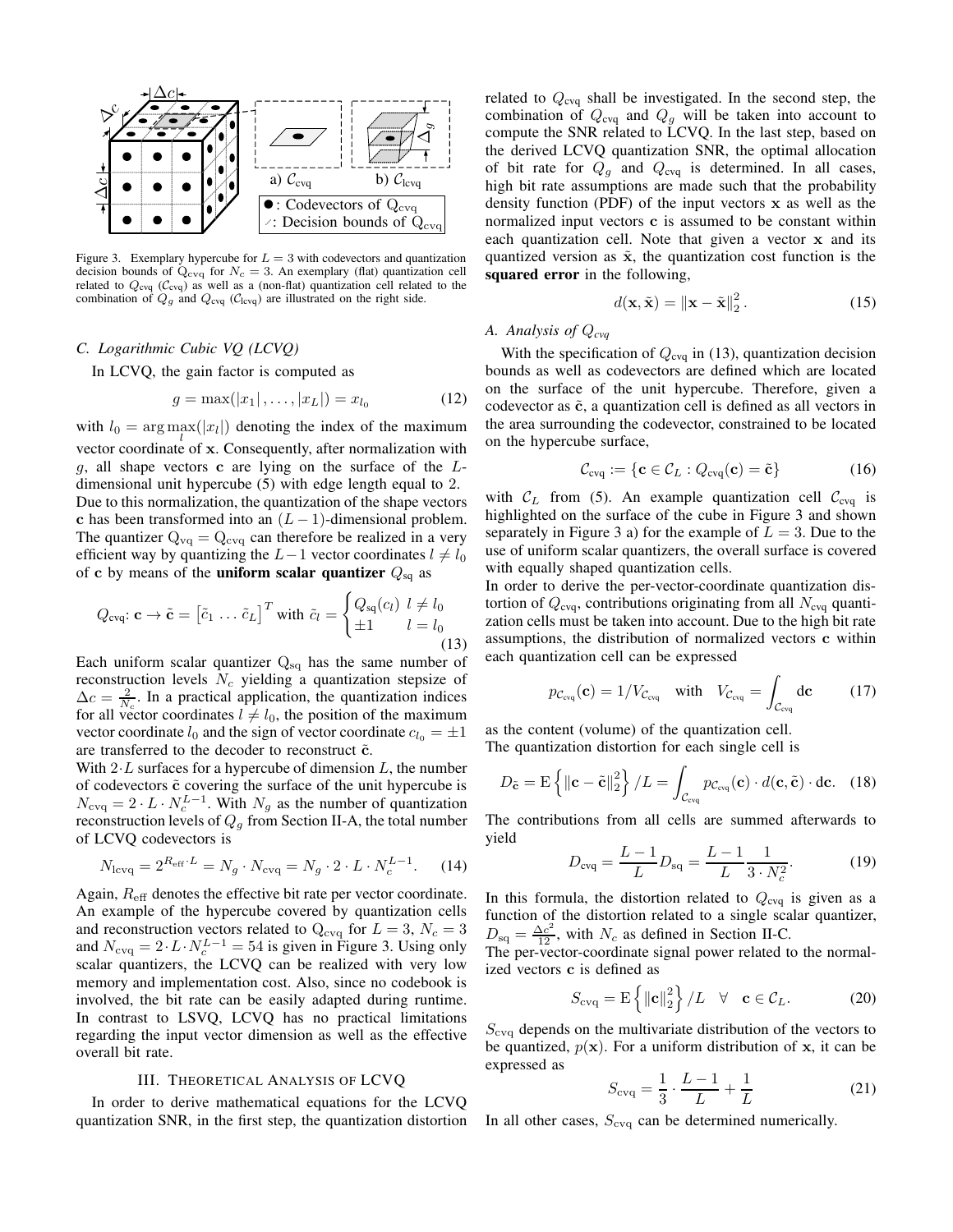

Figure 3. Exemplary hypercube for  $L = 3$  with codevectors and quantization decision bounds of  $Q_{\text{cvq}}$  for  $N_c = 3$ . An exemplary (flat) quantization cell related to  $Q_{\text{cvq}}$  ( $C_{\text{cvq}}$ ) as well as a (non-flat) quantization cell related to the combination of  $Q_g$  and  $Q_{\text{cvq}}$  ( $C_{\text{lcvq}}$ ) are illustrated on the right side.

## *C. Logarithmic Cubic VQ (LCVQ)*

In LCVQ, the gain factor is computed as

$$
g = \max(|x_1|, \dots, |x_L|) = x_{l_0} \tag{12}
$$

with  $l_0 = \arg \max_l(|x_l|)$  denoting the index of the maximum vector coordinate of x. Consequently, after normalization with  $g$ , all shape vectors c are lying on the surface of the  $L$ dimensional unit hypercube (5) with edge length equal to 2. Due to this normalization, the quantization of the shape vectors c has been transformed into an  $(L-1)$ -dimensional problem. The quantizer  $Q_{vq} = Q_{cvq}$  can therefore be realized in a very efficient way by quantizing the  $L-1$  vector coordinates  $l \neq l_0$ of c by means of the **uniform scalar quantizer**  $Q_{sq}$  as

$$
Q_{\text{cvq}}: \mathbf{c} \to \tilde{\mathbf{c}} = \begin{bmatrix} \tilde{c}_1 \dots \tilde{c}_L \end{bmatrix}^T \text{ with } \tilde{c}_l = \begin{cases} Q_{\text{sq}}(c_l) & l \neq l_0 \\ \pm 1 & l = l_0 \end{cases}
$$
(13)

Each uniform scalar quantizer  $Q_{sq}$  has the same number of reconstruction levels  $N_c$  yielding a quantization stepsize of  $\Delta c = \frac{2}{N_c}$ . In a practical application, the quantization indices for all vector coordinates  $l \neq l_0$ , the position of the maximum vector coordinate  $l_0$  and the sign of vector coordinate  $c_{l_0} = \pm 1$ are transferred to the decoder to reconstruct  $\tilde{c}$ .

With  $2 \cdot L$  surfaces for a hypercube of dimension  $L$ , the number of codevectors  $\tilde{c}$  covering the surface of the unit hypercube is  $N_{\text{cvq}} = 2 \cdot L \cdot N_c^{L-1}$ . With  $N_g$  as the number of quantization reconstruction levels of  $Q<sub>g</sub>$  from Section II-A, the total number of LCVQ codevectors is

$$
N_{\text{levq}} = 2^{R_{\text{eff}} \cdot L} = N_g \cdot N_{\text{evq}} = N_g \cdot 2 \cdot L \cdot N_c^{L-1}.
$$
 (14)

Again,  $R_{\text{eff}}$  denotes the effective bit rate per vector coordinate. An example of the hypercube covered by quantization cells and reconstruction vectors related to  $Q_{\text{cvq}}$  for  $L = 3$ ,  $N_c = 3$ and  $N_{\text{evq}} = 2 \cdot L \cdot N_c^{L-1} = 54$  is given in Figure 3. Using only scalar quantizers, the LCVQ can be realized with very low memory and implementation cost. Also, since no codebook is involved, the bit rate can be easily adapted during runtime. In contrast to LSVQ, LCVQ has no practical limitations regarding the input vector dimension as well as the effective overall bit rate.

# III. THEORETICAL ANALYSIS OF LCVQ

In order to derive mathematical equations for the LCVQ quantization SNR, in the first step, the quantization distortion related to  $Q_{\text{cvg}}$  shall be investigated. In the second step, the combination of  $Q_{\text{cvq}}$  and  $Q_g$  will be taken into account to compute the SNR related to LCVQ. In the last step, based on the derived LCVQ quantization SNR, the optimal allocation of bit rate for  $Q_g$  and  $Q_{\text{cvq}}$  is determined. In all cases, high bit rate assumptions are made such that the probability density function (PDF) of the input vectors  $x$  as well as the normalized input vectors c is assumed to be constant within each quantization cell. Note that given a vector x and its quantized version as  $\tilde{x}$ , the quantization cost function is the **squared error** in the following,

$$
d(\mathbf{x}, \tilde{\mathbf{x}}) = \|\mathbf{x} - \tilde{\mathbf{x}}\|_2^2.
$$
 (15)

# *A. Analysis of* Q*cvq*

With the specification of  $Q_{\text{cvg}}$  in (13), quantization decision bounds as well as codevectors are defined which are located on the surface of the unit hypercube. Therefore, given a codevector as  $\tilde{c}$ , a quantization cell is defined as all vectors in the area surrounding the codevector, constrained to be located on the hypercube surface,

$$
\mathcal{C}_{\text{cvq}} := \{ \mathbf{c} \in \mathcal{C}_L : Q_{\text{cvq}}(\mathbf{c}) = \tilde{\mathbf{c}} \}
$$
(16)

with  $C_L$  from (5). An example quantization cell  $C_{\text{cvq}}$  is highlighted on the surface of the cube in Figure 3 and shown separately in Figure 3 a) for the example of  $L = 3$ . Due to the use of uniform scalar quantizers, the overall surface is covered with equally shaped quantization cells.

In order to derive the per-vector-coordinate quantization distortion of  $Q_{\text{c}vq}$ , contributions originating from all  $N_{\text{c}vq}$  quantization cells must be taken into account. Due to the high bit rate assumptions, the distribution of normalized vectors c within each quantization cell can be expressed

$$
p_{\mathcal{C}_{\text{evq}}}(\mathbf{c}) = 1/V_{\mathcal{C}_{\text{evq}}} \quad \text{with} \quad V_{\mathcal{C}_{\text{evq}}} = \int_{\mathcal{C}_{\text{evq}}} d\mathbf{c} \tag{17}
$$

as the content (volume) of the quantization cell. The quantization distortion for each single cell is

$$
D_{\tilde{\mathbf{c}}} = \mathrm{E} \left\{ \left\| \mathbf{c} - \tilde{\mathbf{c}} \right\|_{2}^{2} \right\} / L = \int_{\mathcal{C}_{\text{evq}}} p_{\mathcal{C}_{\text{evq}}}(\mathbf{c}) \cdot d(\mathbf{c}, \tilde{\mathbf{c}}) \cdot d\mathbf{c}.
$$
 (18)

The contributions from all cells are summed afterwards to yield

$$
D_{\text{evq}} = \frac{L-1}{L} D_{\text{sq}} = \frac{L-1}{L} \frac{1}{3 \cdot N_c^2}.
$$
 (19)

In this formula, the distortion related to  $Q_{\text{cvq}}$  is given as a function of the distortion related to a single scalar quantizer,  $D_{\text{sq}} = \frac{\Delta c^2}{12}$ , with  $N_c$  as defined in Section II-C.

The per-vector-coordinate signal power related to the normalized vectors c is defined as

$$
S_{\text{cvq}} = \mathrm{E}\left\{ \left\| \mathbf{c} \right\|_{2}^{2} \right\} / L \quad \forall \quad \mathbf{c} \in \mathcal{C}_{L}. \tag{20}
$$

 $S_{\text{cvo}}$  depends on the multivariate distribution of the vectors to be quantized,  $p(x)$ . For a uniform distribution of x, it can be expressed as

$$
S_{\text{cvq}} = \frac{1}{3} \cdot \frac{L-1}{L} + \frac{1}{L} \tag{21}
$$

In all other cases,  $S_{\text{cvq}}$  can be determined numerically.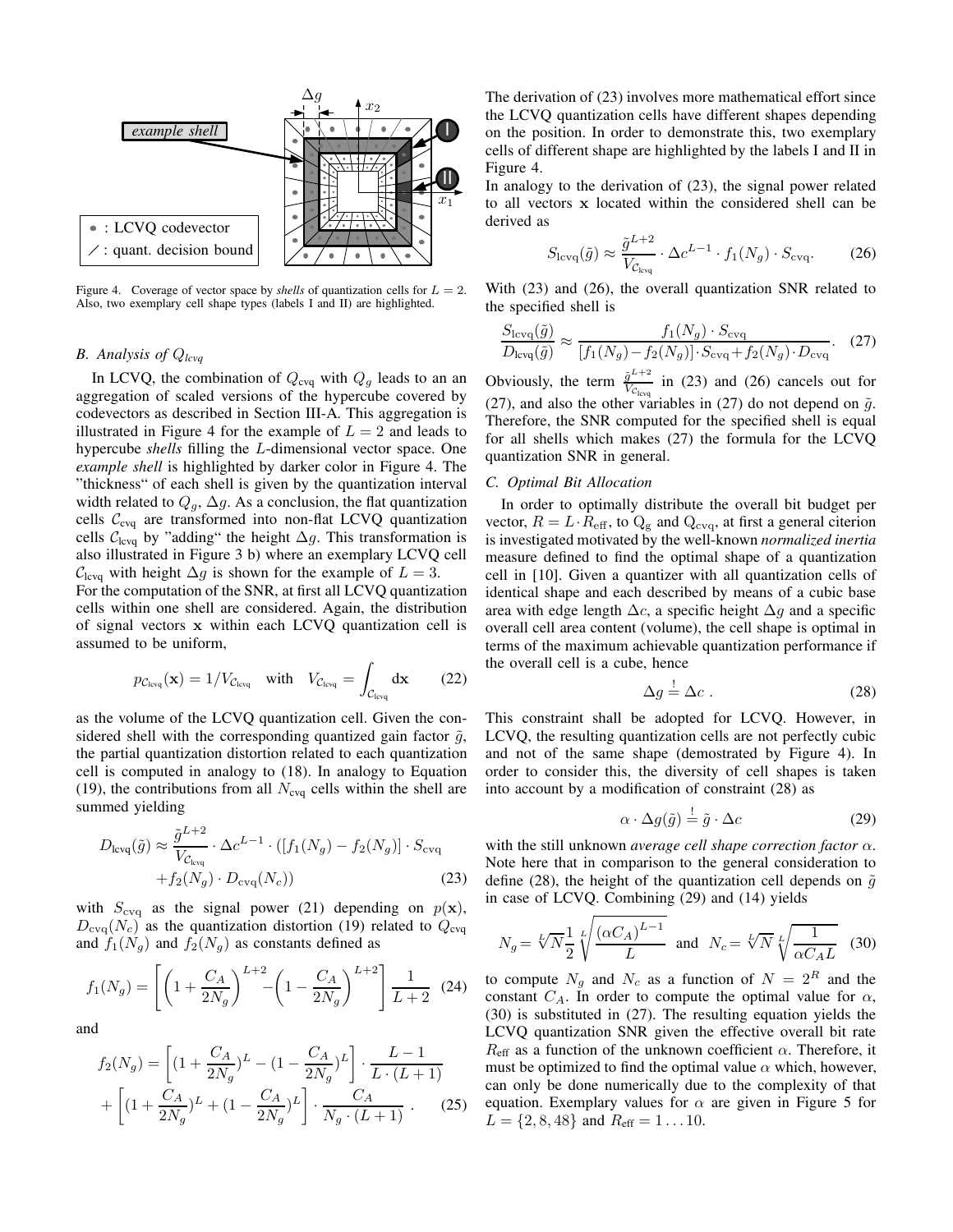

Figure 4. Coverage of vector space by *shells* of quantization cells for  $L = 2$ . Also, two exemplary cell shape types (labels I and II) are highlighted.

# *B. Analysis of* Q*lcvq*

In LCVQ, the combination of  $Q_{\text{cvq}}$  with  $Q_g$  leads to an an aggregation of scaled versions of the hypercube covered by codevectors as described in Section III-A. This aggregation is illustrated in Figure 4 for the example of  $L = 2$  and leads to hypercube *shells* filling the L-dimensional vector space. One *example shell* is highlighted by darker color in Figure 4. The "thickness" of each shell is given by the quantization interval width related to  $Q_g$ ,  $\Delta g$ . As a conclusion, the flat quantization cells  $C_{\text{cvg}}$  are transformed into non-flat LCVQ quantization cells  $C_{\text{levq}}$  by "adding" the height  $\Delta g$ . This transformation is also illustrated in Figure 3 b) where an exemplary LCVQ cell  $C<sub>levq</sub>$  with height  $\Delta g$  is shown for the example of  $L = 3$ . For the computation of the SNR, at first all LCVQ quantization

cells within one shell are considered. Again, the distribution of signal vectors x within each LCVQ quantization cell is assumed to be uniform,

$$
p_{C_{\text{levq}}}(\mathbf{x}) = 1/V_{C_{\text{levq}}} \quad \text{with} \quad V_{C_{\text{levq}}} = \int_{C_{\text{levq}}} d\mathbf{x} \qquad (22)
$$

as the volume of the LCVQ quantization cell. Given the considered shell with the corresponding quantized gain factor  $\tilde{g}$ , the partial quantization distortion related to each quantization cell is computed in analogy to (18). In analogy to Equation (19), the contributions from all  $N_{\text{cvg}}$  cells within the shell are summed yielding

$$
D_{\text{levq}}(\tilde{g}) \approx \frac{\tilde{g}^{L+2}}{V_{C_{\text{levq}}}} \cdot \Delta c^{L-1} \cdot ([f_1(N_g) - f_2(N_g)] \cdot S_{\text{evq}} + f_2(N_g) \cdot D_{\text{evq}}(N_c))
$$
(23)

with  $S_{\text{cvq}}$  as the signal power (21) depending on  $p(\mathbf{x})$ ,  $D_{\text{cyc}}(N_c)$  as the quantization distortion (19) related to  $Q_{\text{cyc}}$ and  $f_1(N_q)$  and  $f_2(N_q)$  as constants defined as

$$
f_1(N_g) = \left[ \left( 1 + \frac{C_A}{2N_g} \right)^{L+2} - \left( 1 - \frac{C_A}{2N_g} \right)^{L+2} \right] \frac{1}{L+2} \tag{24}
$$

and

$$
f_2(N_g) = \left[ (1 + \frac{C_A}{2N_g})^L - (1 - \frac{C_A}{2N_g})^L \right] \cdot \frac{L - 1}{L \cdot (L + 1)} + \left[ (1 + \frac{C_A}{2N_g})^L + (1 - \frac{C_A}{2N_g})^L \right] \cdot \frac{C_A}{N_g \cdot (L + 1)} .
$$
 (25)

The derivation of (23) involves more mathematical effort since the LCVQ quantization cells have different shapes depending on the position. In order to demonstrate this, two exemplary cells of different shape are highlighted by the labels I and II in Figure 4.

In analogy to the derivation of (23), the signal power related to all vectors x located within the considered shell can be derived as

$$
S_{\text{lcvq}}(\tilde{g}) \approx \frac{\tilde{g}^{L+2}}{V_{\text{clvq}}} \cdot \Delta c^{L-1} \cdot f_1(N_g) \cdot S_{\text{cvq}}.\tag{26}
$$

With (23) and (26), the overall quantization SNR related to the specified shell is

$$
\frac{S_{\text{levq}}(\tilde{g})}{D_{\text{levq}}(\tilde{g})} \approx \frac{f_1(N_g) \cdot S_{\text{evq}}}{[f_1(N_g) - f_2(N_g)] \cdot S_{\text{evq}} + f_2(N_g) \cdot D_{\text{evq}}}.
$$
 (27)

Obviously, the term  $\frac{\tilde{g}^{L+2}}{V_g}$  $\frac{g^{-1/2}}{V_{C_{\text{levq}}}}$  in (23) and (26) cancels out for (27), and also the other variables in (27) do not depend on  $\tilde{g}$ . Therefore, the SNR computed for the specified shell is equal for all shells which makes (27) the formula for the LCVQ quantization SNR in general.

## *C. Optimal Bit Allocation*

In order to optimally distribute the overall bit budget per vector,  $R = L \cdot R_{\text{eff}}$ , to  $Q_{\text{g}}$  and  $Q_{\text{cvo}}$ , at first a general citerion is investigated motivated by the well-known *normalized inertia* measure defined to find the optimal shape of a quantization cell in [10]. Given a quantizer with all quantization cells of identical shape and each described by means of a cubic base area with edge length  $\Delta c$ , a specific height  $\Delta g$  and a specific overall cell area content (volume), the cell shape is optimal in terms of the maximum achievable quantization performance if the overall cell is a cube, hence

$$
\Delta g \stackrel{!}{=} \Delta c \ . \tag{28}
$$

This constraint shall be adopted for LCVQ. However, in LCVQ, the resulting quantization cells are not perfectly cubic and not of the same shape (demostrated by Figure 4). In order to consider this, the diversity of cell shapes is taken into account by a modification of constraint (28) as

$$
\alpha \cdot \Delta g(\tilde{g}) \stackrel{!}{=} \tilde{g} \cdot \Delta c \tag{29}
$$

with the still unknown *average cell shape correction factor* α. Note here that in comparison to the general consideration to define (28), the height of the quantization cell depends on  $\tilde{g}$ in case of LCVQ. Combining (29) and (14) yields

$$
N_g = \sqrt[L]{N} \frac{1}{2} \sqrt[L]{\frac{(\alpha C_A)^{L-1}}{L}} \text{ and } N_c = \sqrt[L]{N} \sqrt[L]{\frac{1}{\alpha C_A L}} \quad (30)
$$

to compute  $N_g$  and  $N_c$  as a function of  $N = 2^R$  and the constant  $C_A$ . In order to compute the optimal value for  $\alpha$ , (30) is substituted in (27). The resulting equation yields the LCVQ quantization SNR given the effective overall bit rate  $R_{\text{eff}}$  as a function of the unknown coefficient  $\alpha$ . Therefore, it must be optimized to find the optimal value  $\alpha$  which, however, can only be done numerically due to the complexity of that equation. Exemplary values for  $\alpha$  are given in Figure 5 for  $L = \{2, 8, 48\}$  and  $R_{\text{eff}} = 1 \dots 10$ .